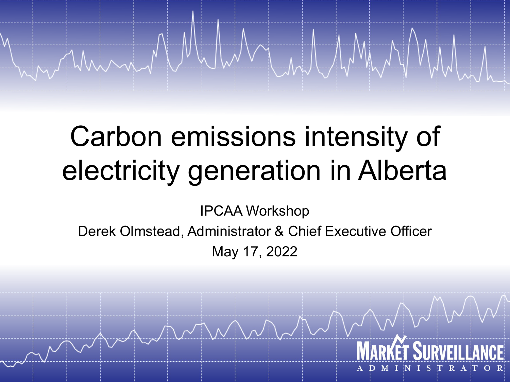# Carbon emissions intensity of electricity generation in Alberta

IPCAA Workshop

Derek Olmstead, Administrator & Chief Executive Officer May 17, 2022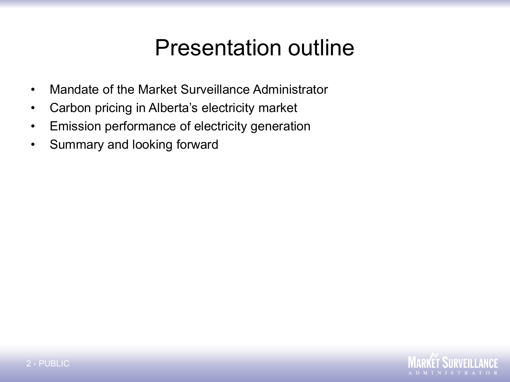## Presentation outline

- Mandate of the Market Surveillance Administrator
- Carbon pricing in Alberta's electricity market
- Emission performance of electricity generation
- Summary and looking forward

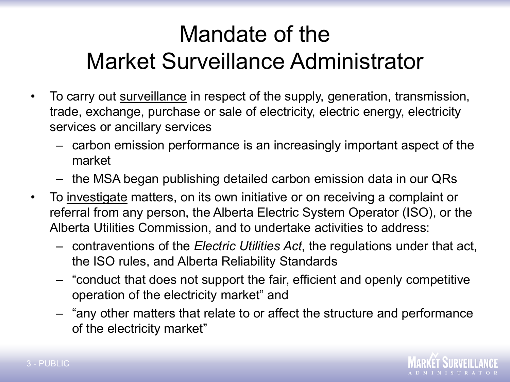## Mandate of the Market Surveillance Administrator

- To carry out surveillance in respect of the supply, generation, transmission, trade, exchange, purchase or sale of electricity, electric energy, electricity services or ancillary services
	- carbon emission performance is an increasingly important aspect of the market
	- the MSA began publishing detailed carbon emission data in our QRs
- To investigate matters, on its own initiative or on receiving a complaint or referral from any person, the Alberta Electric System Operator (ISO), or the Alberta Utilities Commission, and to undertake activities to address:
	- contraventions of the *Electric Utilities Act*, the regulations under that act, the ISO rules, and Alberta Reliability Standards
	- "conduct that does not support the fair, efficient and openly competitive operation of the electricity market" and
	- "any other matters that relate to or affect the structure and performance of the electricity market"

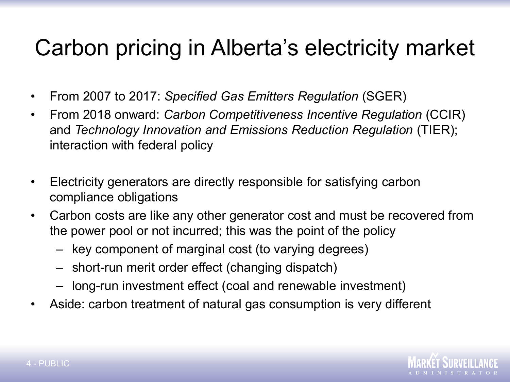## Carbon pricing in Alberta's electricity market

- From 2007 to 2017: *Specified Gas Emitters Regulation* (SGER)
- From 2018 onward: *Carbon Competitiveness Incentive Regulation* (CCIR) and *Technology Innovation and Emissions Reduction Regulation* (TIER); interaction with federal policy
- Electricity generators are directly responsible for satisfying carbon compliance obligations
- Carbon costs are like any other generator cost and must be recovered from the power pool or not incurred; this was the point of the policy
	- key component of marginal cost (to varying degrees)
	- short-run merit order effect (changing dispatch)
	- long-run investment effect (coal and renewable investment)
- Aside: carbon treatment of natural gas consumption is very different

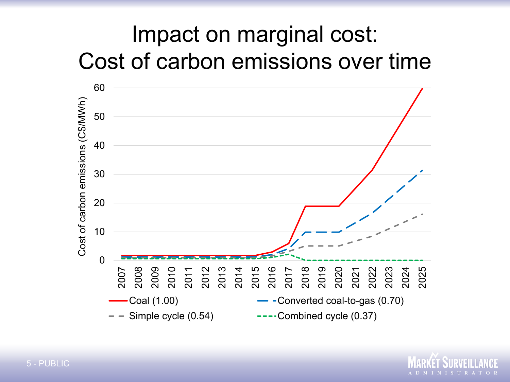## Impact on marginal cost: Cost of carbon emissions over time



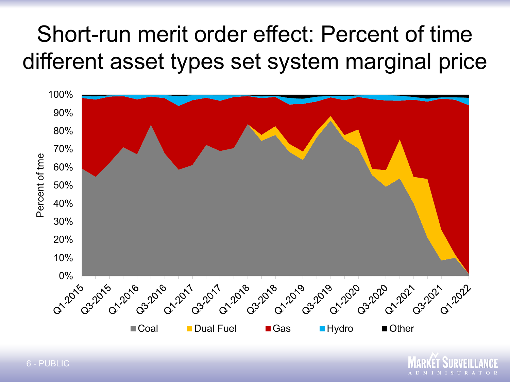## Short-run merit order effect: Percent of time different asset types set system marginal price



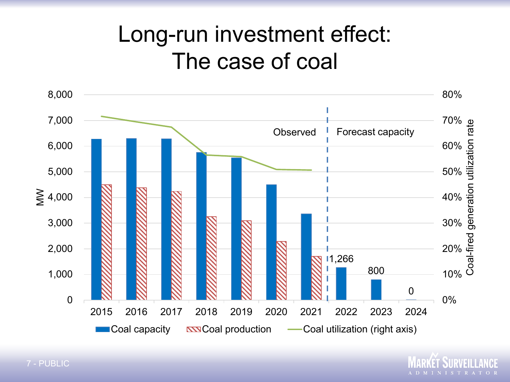### Long-run investment effect: The case of coal



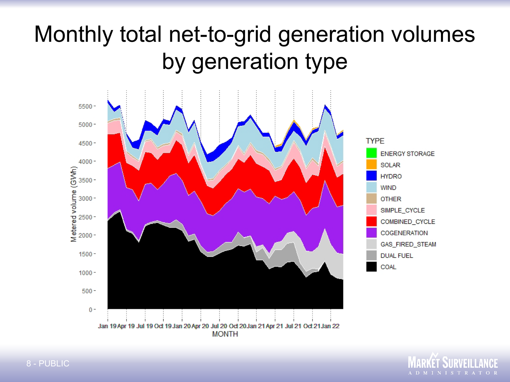## Monthly total net-to-grid generation volumes by generation type



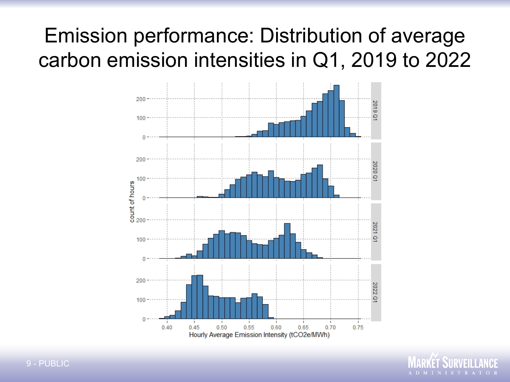#### Emission performance: Distribution of average carbon emission intensities in Q1, 2019 to 2022



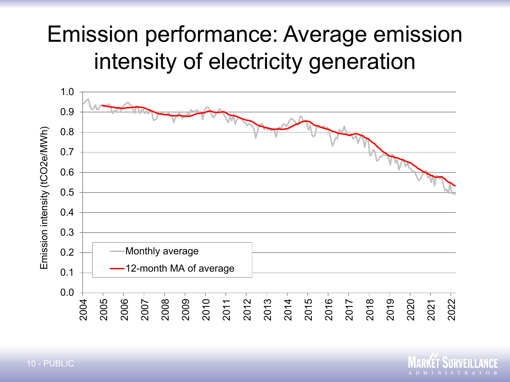## Emission performance: Average emission intensity of electricity generation



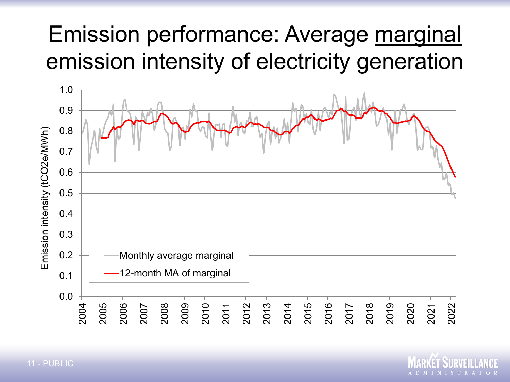## Emission performance: Average marginal emission intensity of electricity generation



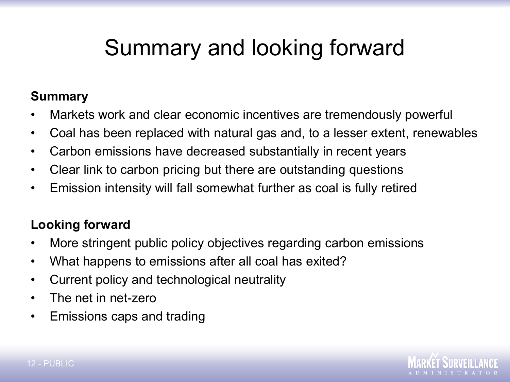## Summary and looking forward

#### **Summary**

- Markets work and clear economic incentives are tremendously powerful
- Coal has been replaced with natural gas and, to a lesser extent, renewables
- Carbon emissions have decreased substantially in recent years
- Clear link to carbon pricing but there are outstanding questions
- Emission intensity will fall somewhat further as coal is fully retired

#### **Looking forward**

- More stringent public policy objectives regarding carbon emissions
- What happens to emissions after all coal has exited?
- Current policy and technological neutrality
- The net in net-zero
- Emissions caps and trading